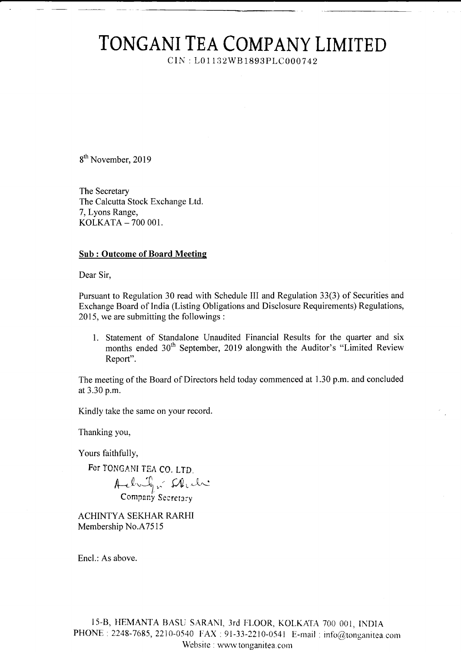# TONGANI TEA COMPANY LIMITED

CIN: L01132WB1893PLC000742

8<sup>th</sup> November, 2019

The Secretary The Calcutta Stock Exchange Ltd. 7, Lyons Range, KOLKATA - 700 001.

#### **Sub: Outcome of Board Meeting**

Dear Sir,

Pursuant to Regulation 30 read with Schedule III and Regulation 33(3) of Securities and Exchange Board of India (Listing Obligations and Disclosure Requirements) Regulations, 2015, we are submitting the followings:

1. Statement of Standalone Unaudited Financial Results for the quarter and six months ended 30<sup>th</sup> September, 2019 alongwith the Auditor's "Limited Review Report".

The meeting of the Board of Directors held today commenced at 1.30 p.m. and concluded at 3.30 p.m.

Kindly take the same on your record.

Thanking you,

Yours faithfully,

For TONGANI TEA CO. LTD. Allely Schule

ACHINTYA SEKHAR RARHI Membership No.A7515

Encl.: As above.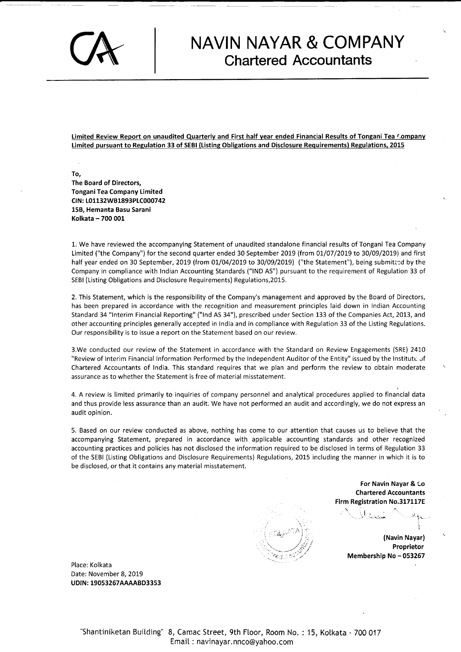# NAVIN NAYAR & COMPANY Chartered Accountants

Limited Review Report on unaudited Quarterly and First half year ended Financial Results of Tongani Tea Company Limited pursuant to Regulation 33 of SEBI (Listing Obligations and Disclosure Requirements) Regulations, 2015

To, The Board of Directors, Tongani Tea Company Limited CIN: 101132W81893PtC000742 158, Hemanta Basu Sarani Kolkata - 700 001

1. We have reviewed the accompanying Statement of unaudited standalone financial results of Tongani Tea Company Limited ("the Company") for the second quarter ended 30 September 2019 (from 01/07/2019 to 30/09/2019) and first half year ended on 30 September, 2019 (from 01/04/2019 to 30/09/2019) ("the Statement"), being submitted by the Company in compliance with lndian Accounting Standards ("lND AS") pursuant to the requirement of Regulation 33 of SEBI (Listing Obligations and Disclosure Requirements) Regulations,2Ot5.

2. This Statement, which is the responsibility of the Company's management and approved by the Board of Directors, has been prepared in accordance with the recognition and measurement principles laid down in lndian Accounting Standard 34 "lnterim Financial Reporting" ("lnd AS 34"), prescribed under Section 133 of the Companies Act, 2013, and other accounting principles generally accepted in lndia and in compliance with Regulation 33 of the Listing Regulations. Our responsibility is to issue a report on the Statement based on our review.

3.We conducted our review of the Statement in accordance with the Standard on Review Engagements (SRE) 2410 "Review of Interim Financial Information Performed by the Independent Auditor of the Entity" issued by the Institute of Chartered Accountants of lndia. This standard requires that we plan and perform the review to obtain moderate assurance as to whether the Statement is free of material misstatement.

4. A review is limited primarily to inquiries of company personnel and analytical procedures applied to financial data and thus provide less assurance than an audit. We have not performed an audit and accordingly, we do not express an audit opinion.

5. Based on our review conducted as above, nothing has come to our attention that causes us to believe that the accompanying Statement, prepared in accordance with applicable accounting standards and other recognized accounting practices and policies has not disclosed the information required to be disclosed in terms of Regulation 33 of the SEBI (Listing Obligations and Disclosure Requirements) Regulations, 2015 including the manner in which it is to be disclosed, or that it contains any material misstatement.

 $\rho\gamma\rho$ 

For Navin Nayar & Lo Chartered Accountants Firm Registration No.317117E \

> 1 (Navin Nayar) Proprietor Membership No - 053267

 $0.1$  jet  $\sim$   $\sim$   $\sim$ 

r'

Place: Kolkata Date: November 8, 2019 UDIN: 19053257AAAA8D3353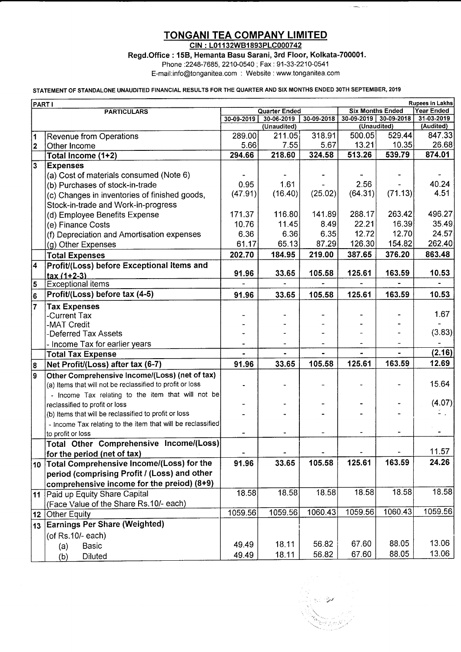## <u>TONGANI TEA COMPANY LIMITED</u>

 $\frac{1}{2} \left( \frac{1}{2} \right) \left( \frac{1}{2} \right) \left( \frac{1}{2} \right) \left( \frac{1}{2} \right) \left( \frac{1}{2} \right) \left( \frac{1}{2} \right) \left( \frac{1}{2} \right) \left( \frac{1}{2} \right) \left( \frac{1}{2} \right) \left( \frac{1}{2} \right) \left( \frac{1}{2} \right) \left( \frac{1}{2} \right) \left( \frac{1}{2} \right) \left( \frac{1}{2} \right) \left( \frac{1}{2} \right) \left( \frac{1}{2} \right) \left( \frac$ 

<u>CIN:L01132WB1893PLC000742</u>

Regd.Office: 15B, Hemanta Basu Sarani, 3rd Floor, Kolkata-700001.

Phone: 2248-7685, 2210-0540; Fax: 91-33-2210-0541

E-mail:info@tonganitea.com : Website : www.tonganitea.com

### STATEMENT OF STANDALONE UNAUDITED FINANCIAL RESULTS FOR THE QUARTER AND SIX MONTHS ENDED 30TH SEPTEMBER, 2019

| PARTI                   | <b>Rupees in Lakhs</b>                                      |                          |                           |            |         |                                      |                         |
|-------------------------|-------------------------------------------------------------|--------------------------|---------------------------|------------|---------|--------------------------------------|-------------------------|
|                         | <b>PARTICULARS</b>                                          |                          | <b>Quarter Ended</b>      |            |         | <b>Six Months Ended</b>              | <b>Year Ended</b>       |
|                         |                                                             | 30-09-2019               | 30-06-2019<br>(Unaudited) | 30-09-2018 |         | 30-09-2019 30-09-2018<br>(Unaudited) | 31-03-2019<br>(Audited) |
| $\vert$ 1               |                                                             | 289.00                   | 211.05                    | 318.91     | 500.05  | 529.44                               | 847.33                  |
| $\overline{\mathbf{2}}$ | Revenue from Operations<br>Other Income                     | 5.66                     | 7.55                      | 5.67       | 13.21   | 10.35                                | 26.68                   |
|                         | Total Income (1+2)                                          | 294.66                   | 218.60                    | 324.58     | 513.26  | 539.79                               | 874.01                  |
| $\overline{\mathbf{3}}$ | <b>Expenses</b>                                             |                          |                           |            |         |                                      |                         |
|                         | (a) Cost of materials consumed (Note 6)                     |                          |                           |            |         |                                      |                         |
|                         | (b) Purchases of stock-in-trade                             | 0.95                     | 1.61                      |            | 2.56    |                                      | 40.24                   |
|                         | (c) Changes in inventories of finished goods,               | (47.91)                  | (16.40)                   | (25.02)    | (64.31) | (71.13)                              | 4.51                    |
|                         | Stock-in-trade and Work-in-progress                         |                          |                           |            |         |                                      |                         |
|                         | (d) Employee Benefits Expense                               | 171.37                   | 116.80                    | 141.89     | 288.17  | 263.42                               | 496.27                  |
|                         | (e) Finance Costs                                           | 10.76                    | 11.45                     | 8.49       | 22.21   | 16.39                                | 35.49                   |
|                         |                                                             | 6.36                     | 6.36                      | 6.35       | 12.72   | 12.70                                | 24.57                   |
|                         | (f) Depreciation and Amortisation expenses                  | 61.17                    | 65.13                     | 87.29      | 126.30  | 154.82                               | 262.40                  |
|                         | (g) Other Expenses                                          |                          |                           |            |         |                                      |                         |
|                         | <b>Total Expenses</b>                                       | 202.70                   | 184.95                    | 219.00     | 387.65  | 376.20                               | 863.48                  |
| 4                       | Profit/(Loss) before Exceptional Items and<br>$tax(1+2-3)$  | 91.96                    | 33.65                     | 105.58     | 125.61  | 163.59                               | 10.53                   |
| 5                       | <b>Exceptional items</b>                                    |                          |                           |            |         |                                      |                         |
| 6                       | Profit/(Loss) before tax (4-5)                              | 91.96                    | 33.65                     | 105.58     | 125.61  | 163.59                               | 10.53                   |
| $\overline{\mathbf{z}}$ | <b>Tax Expenses</b>                                         |                          |                           |            |         |                                      |                         |
|                         | -Current Tax                                                |                          |                           |            |         |                                      | 1.67                    |
|                         | -MAT Credit                                                 |                          |                           |            |         |                                      |                         |
|                         | -Deferred Tax Assets                                        |                          |                           |            |         |                                      | (3.83)                  |
|                         | - Income Tax for earlier years                              |                          |                           |            |         |                                      |                         |
|                         | <b>Total Tax Expense</b>                                    |                          |                           |            |         |                                      | (2.16)                  |
| 8                       | Net Profit/(Loss) after tax (6-7)                           | 91.96                    | 33.65                     | 105.58     | 125.61  | 163.59                               | 12.69                   |
| 9                       | Other Comprehensive Income/(Loss) (net of tax)              |                          |                           |            |         |                                      |                         |
|                         | (a) Items that will not be reclassified to profit or loss   |                          |                           |            |         |                                      | 15.64                   |
|                         | - Income Tax relating to the item that will not be          |                          |                           |            |         |                                      |                         |
|                         | reclassified to profit or loss                              |                          |                           |            |         |                                      | (4.07)                  |
|                         | (b) Items that will be reclassified to profit or loss       |                          |                           |            |         |                                      |                         |
|                         | - Income Tax relating to the item that will be reclassified |                          |                           |            |         |                                      |                         |
|                         | to profit or loss                                           |                          |                           |            |         |                                      |                         |
|                         | Total Other Comprehensive Income/(Loss)                     |                          |                           |            |         |                                      |                         |
|                         | for the period (net of tax)                                 | $\overline{\phantom{0}}$ |                           |            |         |                                      | 11.57                   |
|                         | 10 Total Comprehensive Income/(Loss) for the                | 91.96                    | 33.65                     | 105.58     | 125.61  | 163.59                               | 24.26                   |
|                         | period (comprising Profit / (Loss) and other                |                          |                           |            |         |                                      |                         |
|                         | comprehensive income for the preiod) (8+9)                  |                          |                           |            |         |                                      |                         |
| 11                      | Paid up Equity Share Capital                                | 18.58                    | 18.58                     | 18.58      | 18.58   | 18.58                                | 18.58                   |
|                         | (Face Value of the Share Rs.10/- each)                      |                          |                           |            |         |                                      |                         |
| 12 <sub>2</sub>         | Other Equity                                                | 1059.56                  | 1059.56                   | 1060.43    | 1059.56 | 1060.43                              | 1059.56                 |
| 13                      | <b>Earnings Per Share (Weighted)</b>                        |                          |                           |            |         |                                      |                         |
|                         | (of Rs.10/- each)                                           |                          |                           |            |         |                                      |                         |
|                         | Basic<br>(a)                                                | 49.49                    | 18.11                     | 56.82      | 67.60   | 88.05                                | 13.06                   |
|                         | Diluted<br>(b)                                              | 49.49                    | 18.11                     | 56.82      | 67.60   | 88.05                                | 13.06                   |

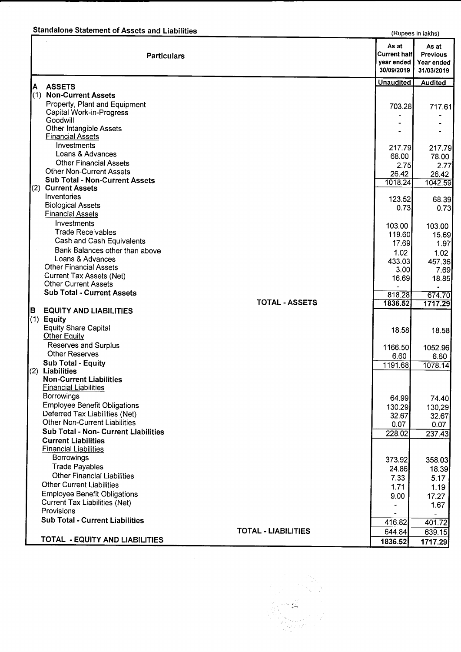#### **Standalone Statement of Assets and Liabilities**

(Punges in Jokhe)

| As at<br>As at<br><b>Current half</b><br><b>Previous</b><br><b>Particulars</b><br>year ended<br>Year ended<br>30/09/2019<br>31/03/2019<br><b>Unaudited</b><br><b>Audited</b><br><b>ASSETS</b><br>A<br>(1) Non-Current Assets<br>Property, Plant and Equipment<br>703.28<br>717.61<br>Capital Work-in-Progress<br>Goodwill<br><b>Other Intangible Assets</b><br><b>Financial Assets</b><br>Investments<br>217.79<br>217.79<br>Loans & Advances<br>68.00<br>78.00<br><b>Other Financial Assets</b><br>2.75<br>2.77<br><b>Other Non-Current Assets</b><br>26.42<br>26.42<br><b>Sub Total - Non-Current Assets</b><br>1018.24<br>1042.59<br>(2) Current Assets<br>Inventories<br>123.52<br>68.39<br><b>Biological Assets</b><br>0.73<br>0.73<br><b>Financial Assets</b><br>Investments<br>103.00<br>103.00<br><b>Trade Receivables</b><br>119.60<br>15.69<br>Cash and Cash Equivalents<br>17.69<br>1.97<br>Bank Balances other than above<br>1.02<br>1.02<br>Loans & Advances<br>433.03<br>457.36<br><b>Other Financial Assets</b><br>3.00<br>7.69<br><b>Current Tax Assets (Net)</b><br>16.69<br><b>Other Current Assets</b><br><b>Sub Total - Current Assets</b><br>818.28<br>674.70<br><b>TOTAL - ASSETS</b><br>1836.52<br>1717.29<br>IB.<br><b>EQUITY AND LIABILITIES</b><br>$(1)$ Equity<br><b>Equity Share Capital</b><br>18.58<br>18.58<br><b>Other Equity</b><br>Reserves and Surplus<br>1166.50<br>1052.96<br><b>Other Reserves</b><br>6.60<br>6.60<br><b>Sub Total - Equity</b><br>1191.68<br>1078.14<br>(2) Liabilities<br><b>Non-Current Liabilities</b><br><b>Financial Liabilities</b><br>Borrowings<br>64.99<br><b>Employee Benefit Obligations</b><br>130.29<br>130,29<br>Deferred Tax Liabilities (Net)<br>32.67<br>32.67<br><b>Other Non-Current Liabilities</b><br>0.07<br>0.07<br>Sub Total - Non- Current Liabilities<br>228.02<br>237.43<br><b>Current Liabilities</b><br><b>Financial Liabilities</b><br>Borrowings<br>373.92<br>358.03<br><b>Trade Payables</b><br>24.86<br>18.39<br><b>Other Financial Liabilities</b><br>7.33<br>5.17<br><b>Other Current Liabilities</b><br>1.71<br>1.19<br><b>Employee Benefit Obligations</b><br>9.00<br>17.27<br><b>Current Tax Liabilities (Net)</b><br>1.67<br>۰<br>Provisions<br><b>Sub Total - Current Liabilities</b><br>416.82<br>401.72<br><b>TOTAL - LIABILITIES</b><br>644.84<br>639.15<br>TOTAL - EQUITY AND LIABILITIES<br>1836.52<br>1717.29 |  | (Rupees III lakiis) |
|--------------------------------------------------------------------------------------------------------------------------------------------------------------------------------------------------------------------------------------------------------------------------------------------------------------------------------------------------------------------------------------------------------------------------------------------------------------------------------------------------------------------------------------------------------------------------------------------------------------------------------------------------------------------------------------------------------------------------------------------------------------------------------------------------------------------------------------------------------------------------------------------------------------------------------------------------------------------------------------------------------------------------------------------------------------------------------------------------------------------------------------------------------------------------------------------------------------------------------------------------------------------------------------------------------------------------------------------------------------------------------------------------------------------------------------------------------------------------------------------------------------------------------------------------------------------------------------------------------------------------------------------------------------------------------------------------------------------------------------------------------------------------------------------------------------------------------------------------------------------------------------------------------------------------------------------------------------------------------------------------------------------------------------------------------------------------------------------------------------------------------------------------------------------------------------------------------------------------------------------------------------------------------------------------------------------------------------------------------------------------------------------------------------------|--|---------------------|
|                                                                                                                                                                                                                                                                                                                                                                                                                                                                                                                                                                                                                                                                                                                                                                                                                                                                                                                                                                                                                                                                                                                                                                                                                                                                                                                                                                                                                                                                                                                                                                                                                                                                                                                                                                                                                                                                                                                                                                                                                                                                                                                                                                                                                                                                                                                                                                                                                    |  |                     |
|                                                                                                                                                                                                                                                                                                                                                                                                                                                                                                                                                                                                                                                                                                                                                                                                                                                                                                                                                                                                                                                                                                                                                                                                                                                                                                                                                                                                                                                                                                                                                                                                                                                                                                                                                                                                                                                                                                                                                                                                                                                                                                                                                                                                                                                                                                                                                                                                                    |  |                     |
|                                                                                                                                                                                                                                                                                                                                                                                                                                                                                                                                                                                                                                                                                                                                                                                                                                                                                                                                                                                                                                                                                                                                                                                                                                                                                                                                                                                                                                                                                                                                                                                                                                                                                                                                                                                                                                                                                                                                                                                                                                                                                                                                                                                                                                                                                                                                                                                                                    |  |                     |
|                                                                                                                                                                                                                                                                                                                                                                                                                                                                                                                                                                                                                                                                                                                                                                                                                                                                                                                                                                                                                                                                                                                                                                                                                                                                                                                                                                                                                                                                                                                                                                                                                                                                                                                                                                                                                                                                                                                                                                                                                                                                                                                                                                                                                                                                                                                                                                                                                    |  |                     |
|                                                                                                                                                                                                                                                                                                                                                                                                                                                                                                                                                                                                                                                                                                                                                                                                                                                                                                                                                                                                                                                                                                                                                                                                                                                                                                                                                                                                                                                                                                                                                                                                                                                                                                                                                                                                                                                                                                                                                                                                                                                                                                                                                                                                                                                                                                                                                                                                                    |  |                     |
|                                                                                                                                                                                                                                                                                                                                                                                                                                                                                                                                                                                                                                                                                                                                                                                                                                                                                                                                                                                                                                                                                                                                                                                                                                                                                                                                                                                                                                                                                                                                                                                                                                                                                                                                                                                                                                                                                                                                                                                                                                                                                                                                                                                                                                                                                                                                                                                                                    |  |                     |
|                                                                                                                                                                                                                                                                                                                                                                                                                                                                                                                                                                                                                                                                                                                                                                                                                                                                                                                                                                                                                                                                                                                                                                                                                                                                                                                                                                                                                                                                                                                                                                                                                                                                                                                                                                                                                                                                                                                                                                                                                                                                                                                                                                                                                                                                                                                                                                                                                    |  |                     |
|                                                                                                                                                                                                                                                                                                                                                                                                                                                                                                                                                                                                                                                                                                                                                                                                                                                                                                                                                                                                                                                                                                                                                                                                                                                                                                                                                                                                                                                                                                                                                                                                                                                                                                                                                                                                                                                                                                                                                                                                                                                                                                                                                                                                                                                                                                                                                                                                                    |  |                     |
|                                                                                                                                                                                                                                                                                                                                                                                                                                                                                                                                                                                                                                                                                                                                                                                                                                                                                                                                                                                                                                                                                                                                                                                                                                                                                                                                                                                                                                                                                                                                                                                                                                                                                                                                                                                                                                                                                                                                                                                                                                                                                                                                                                                                                                                                                                                                                                                                                    |  |                     |
|                                                                                                                                                                                                                                                                                                                                                                                                                                                                                                                                                                                                                                                                                                                                                                                                                                                                                                                                                                                                                                                                                                                                                                                                                                                                                                                                                                                                                                                                                                                                                                                                                                                                                                                                                                                                                                                                                                                                                                                                                                                                                                                                                                                                                                                                                                                                                                                                                    |  |                     |
|                                                                                                                                                                                                                                                                                                                                                                                                                                                                                                                                                                                                                                                                                                                                                                                                                                                                                                                                                                                                                                                                                                                                                                                                                                                                                                                                                                                                                                                                                                                                                                                                                                                                                                                                                                                                                                                                                                                                                                                                                                                                                                                                                                                                                                                                                                                                                                                                                    |  |                     |
|                                                                                                                                                                                                                                                                                                                                                                                                                                                                                                                                                                                                                                                                                                                                                                                                                                                                                                                                                                                                                                                                                                                                                                                                                                                                                                                                                                                                                                                                                                                                                                                                                                                                                                                                                                                                                                                                                                                                                                                                                                                                                                                                                                                                                                                                                                                                                                                                                    |  |                     |
|                                                                                                                                                                                                                                                                                                                                                                                                                                                                                                                                                                                                                                                                                                                                                                                                                                                                                                                                                                                                                                                                                                                                                                                                                                                                                                                                                                                                                                                                                                                                                                                                                                                                                                                                                                                                                                                                                                                                                                                                                                                                                                                                                                                                                                                                                                                                                                                                                    |  |                     |
|                                                                                                                                                                                                                                                                                                                                                                                                                                                                                                                                                                                                                                                                                                                                                                                                                                                                                                                                                                                                                                                                                                                                                                                                                                                                                                                                                                                                                                                                                                                                                                                                                                                                                                                                                                                                                                                                                                                                                                                                                                                                                                                                                                                                                                                                                                                                                                                                                    |  |                     |
|                                                                                                                                                                                                                                                                                                                                                                                                                                                                                                                                                                                                                                                                                                                                                                                                                                                                                                                                                                                                                                                                                                                                                                                                                                                                                                                                                                                                                                                                                                                                                                                                                                                                                                                                                                                                                                                                                                                                                                                                                                                                                                                                                                                                                                                                                                                                                                                                                    |  |                     |
|                                                                                                                                                                                                                                                                                                                                                                                                                                                                                                                                                                                                                                                                                                                                                                                                                                                                                                                                                                                                                                                                                                                                                                                                                                                                                                                                                                                                                                                                                                                                                                                                                                                                                                                                                                                                                                                                                                                                                                                                                                                                                                                                                                                                                                                                                                                                                                                                                    |  |                     |
|                                                                                                                                                                                                                                                                                                                                                                                                                                                                                                                                                                                                                                                                                                                                                                                                                                                                                                                                                                                                                                                                                                                                                                                                                                                                                                                                                                                                                                                                                                                                                                                                                                                                                                                                                                                                                                                                                                                                                                                                                                                                                                                                                                                                                                                                                                                                                                                                                    |  |                     |
|                                                                                                                                                                                                                                                                                                                                                                                                                                                                                                                                                                                                                                                                                                                                                                                                                                                                                                                                                                                                                                                                                                                                                                                                                                                                                                                                                                                                                                                                                                                                                                                                                                                                                                                                                                                                                                                                                                                                                                                                                                                                                                                                                                                                                                                                                                                                                                                                                    |  |                     |
|                                                                                                                                                                                                                                                                                                                                                                                                                                                                                                                                                                                                                                                                                                                                                                                                                                                                                                                                                                                                                                                                                                                                                                                                                                                                                                                                                                                                                                                                                                                                                                                                                                                                                                                                                                                                                                                                                                                                                                                                                                                                                                                                                                                                                                                                                                                                                                                                                    |  |                     |
|                                                                                                                                                                                                                                                                                                                                                                                                                                                                                                                                                                                                                                                                                                                                                                                                                                                                                                                                                                                                                                                                                                                                                                                                                                                                                                                                                                                                                                                                                                                                                                                                                                                                                                                                                                                                                                                                                                                                                                                                                                                                                                                                                                                                                                                                                                                                                                                                                    |  |                     |
|                                                                                                                                                                                                                                                                                                                                                                                                                                                                                                                                                                                                                                                                                                                                                                                                                                                                                                                                                                                                                                                                                                                                                                                                                                                                                                                                                                                                                                                                                                                                                                                                                                                                                                                                                                                                                                                                                                                                                                                                                                                                                                                                                                                                                                                                                                                                                                                                                    |  |                     |
|                                                                                                                                                                                                                                                                                                                                                                                                                                                                                                                                                                                                                                                                                                                                                                                                                                                                                                                                                                                                                                                                                                                                                                                                                                                                                                                                                                                                                                                                                                                                                                                                                                                                                                                                                                                                                                                                                                                                                                                                                                                                                                                                                                                                                                                                                                                                                                                                                    |  |                     |
|                                                                                                                                                                                                                                                                                                                                                                                                                                                                                                                                                                                                                                                                                                                                                                                                                                                                                                                                                                                                                                                                                                                                                                                                                                                                                                                                                                                                                                                                                                                                                                                                                                                                                                                                                                                                                                                                                                                                                                                                                                                                                                                                                                                                                                                                                                                                                                                                                    |  |                     |
|                                                                                                                                                                                                                                                                                                                                                                                                                                                                                                                                                                                                                                                                                                                                                                                                                                                                                                                                                                                                                                                                                                                                                                                                                                                                                                                                                                                                                                                                                                                                                                                                                                                                                                                                                                                                                                                                                                                                                                                                                                                                                                                                                                                                                                                                                                                                                                                                                    |  |                     |
|                                                                                                                                                                                                                                                                                                                                                                                                                                                                                                                                                                                                                                                                                                                                                                                                                                                                                                                                                                                                                                                                                                                                                                                                                                                                                                                                                                                                                                                                                                                                                                                                                                                                                                                                                                                                                                                                                                                                                                                                                                                                                                                                                                                                                                                                                                                                                                                                                    |  |                     |
|                                                                                                                                                                                                                                                                                                                                                                                                                                                                                                                                                                                                                                                                                                                                                                                                                                                                                                                                                                                                                                                                                                                                                                                                                                                                                                                                                                                                                                                                                                                                                                                                                                                                                                                                                                                                                                                                                                                                                                                                                                                                                                                                                                                                                                                                                                                                                                                                                    |  |                     |
|                                                                                                                                                                                                                                                                                                                                                                                                                                                                                                                                                                                                                                                                                                                                                                                                                                                                                                                                                                                                                                                                                                                                                                                                                                                                                                                                                                                                                                                                                                                                                                                                                                                                                                                                                                                                                                                                                                                                                                                                                                                                                                                                                                                                                                                                                                                                                                                                                    |  |                     |
|                                                                                                                                                                                                                                                                                                                                                                                                                                                                                                                                                                                                                                                                                                                                                                                                                                                                                                                                                                                                                                                                                                                                                                                                                                                                                                                                                                                                                                                                                                                                                                                                                                                                                                                                                                                                                                                                                                                                                                                                                                                                                                                                                                                                                                                                                                                                                                                                                    |  |                     |
|                                                                                                                                                                                                                                                                                                                                                                                                                                                                                                                                                                                                                                                                                                                                                                                                                                                                                                                                                                                                                                                                                                                                                                                                                                                                                                                                                                                                                                                                                                                                                                                                                                                                                                                                                                                                                                                                                                                                                                                                                                                                                                                                                                                                                                                                                                                                                                                                                    |  |                     |
|                                                                                                                                                                                                                                                                                                                                                                                                                                                                                                                                                                                                                                                                                                                                                                                                                                                                                                                                                                                                                                                                                                                                                                                                                                                                                                                                                                                                                                                                                                                                                                                                                                                                                                                                                                                                                                                                                                                                                                                                                                                                                                                                                                                                                                                                                                                                                                                                                    |  |                     |
|                                                                                                                                                                                                                                                                                                                                                                                                                                                                                                                                                                                                                                                                                                                                                                                                                                                                                                                                                                                                                                                                                                                                                                                                                                                                                                                                                                                                                                                                                                                                                                                                                                                                                                                                                                                                                                                                                                                                                                                                                                                                                                                                                                                                                                                                                                                                                                                                                    |  |                     |
|                                                                                                                                                                                                                                                                                                                                                                                                                                                                                                                                                                                                                                                                                                                                                                                                                                                                                                                                                                                                                                                                                                                                                                                                                                                                                                                                                                                                                                                                                                                                                                                                                                                                                                                                                                                                                                                                                                                                                                                                                                                                                                                                                                                                                                                                                                                                                                                                                    |  |                     |
|                                                                                                                                                                                                                                                                                                                                                                                                                                                                                                                                                                                                                                                                                                                                                                                                                                                                                                                                                                                                                                                                                                                                                                                                                                                                                                                                                                                                                                                                                                                                                                                                                                                                                                                                                                                                                                                                                                                                                                                                                                                                                                                                                                                                                                                                                                                                                                                                                    |  | 18.85               |
|                                                                                                                                                                                                                                                                                                                                                                                                                                                                                                                                                                                                                                                                                                                                                                                                                                                                                                                                                                                                                                                                                                                                                                                                                                                                                                                                                                                                                                                                                                                                                                                                                                                                                                                                                                                                                                                                                                                                                                                                                                                                                                                                                                                                                                                                                                                                                                                                                    |  |                     |
|                                                                                                                                                                                                                                                                                                                                                                                                                                                                                                                                                                                                                                                                                                                                                                                                                                                                                                                                                                                                                                                                                                                                                                                                                                                                                                                                                                                                                                                                                                                                                                                                                                                                                                                                                                                                                                                                                                                                                                                                                                                                                                                                                                                                                                                                                                                                                                                                                    |  |                     |
|                                                                                                                                                                                                                                                                                                                                                                                                                                                                                                                                                                                                                                                                                                                                                                                                                                                                                                                                                                                                                                                                                                                                                                                                                                                                                                                                                                                                                                                                                                                                                                                                                                                                                                                                                                                                                                                                                                                                                                                                                                                                                                                                                                                                                                                                                                                                                                                                                    |  |                     |
|                                                                                                                                                                                                                                                                                                                                                                                                                                                                                                                                                                                                                                                                                                                                                                                                                                                                                                                                                                                                                                                                                                                                                                                                                                                                                                                                                                                                                                                                                                                                                                                                                                                                                                                                                                                                                                                                                                                                                                                                                                                                                                                                                                                                                                                                                                                                                                                                                    |  |                     |
|                                                                                                                                                                                                                                                                                                                                                                                                                                                                                                                                                                                                                                                                                                                                                                                                                                                                                                                                                                                                                                                                                                                                                                                                                                                                                                                                                                                                                                                                                                                                                                                                                                                                                                                                                                                                                                                                                                                                                                                                                                                                                                                                                                                                                                                                                                                                                                                                                    |  |                     |
|                                                                                                                                                                                                                                                                                                                                                                                                                                                                                                                                                                                                                                                                                                                                                                                                                                                                                                                                                                                                                                                                                                                                                                                                                                                                                                                                                                                                                                                                                                                                                                                                                                                                                                                                                                                                                                                                                                                                                                                                                                                                                                                                                                                                                                                                                                                                                                                                                    |  |                     |
|                                                                                                                                                                                                                                                                                                                                                                                                                                                                                                                                                                                                                                                                                                                                                                                                                                                                                                                                                                                                                                                                                                                                                                                                                                                                                                                                                                                                                                                                                                                                                                                                                                                                                                                                                                                                                                                                                                                                                                                                                                                                                                                                                                                                                                                                                                                                                                                                                    |  |                     |
|                                                                                                                                                                                                                                                                                                                                                                                                                                                                                                                                                                                                                                                                                                                                                                                                                                                                                                                                                                                                                                                                                                                                                                                                                                                                                                                                                                                                                                                                                                                                                                                                                                                                                                                                                                                                                                                                                                                                                                                                                                                                                                                                                                                                                                                                                                                                                                                                                    |  |                     |
|                                                                                                                                                                                                                                                                                                                                                                                                                                                                                                                                                                                                                                                                                                                                                                                                                                                                                                                                                                                                                                                                                                                                                                                                                                                                                                                                                                                                                                                                                                                                                                                                                                                                                                                                                                                                                                                                                                                                                                                                                                                                                                                                                                                                                                                                                                                                                                                                                    |  |                     |
|                                                                                                                                                                                                                                                                                                                                                                                                                                                                                                                                                                                                                                                                                                                                                                                                                                                                                                                                                                                                                                                                                                                                                                                                                                                                                                                                                                                                                                                                                                                                                                                                                                                                                                                                                                                                                                                                                                                                                                                                                                                                                                                                                                                                                                                                                                                                                                                                                    |  |                     |
|                                                                                                                                                                                                                                                                                                                                                                                                                                                                                                                                                                                                                                                                                                                                                                                                                                                                                                                                                                                                                                                                                                                                                                                                                                                                                                                                                                                                                                                                                                                                                                                                                                                                                                                                                                                                                                                                                                                                                                                                                                                                                                                                                                                                                                                                                                                                                                                                                    |  |                     |
|                                                                                                                                                                                                                                                                                                                                                                                                                                                                                                                                                                                                                                                                                                                                                                                                                                                                                                                                                                                                                                                                                                                                                                                                                                                                                                                                                                                                                                                                                                                                                                                                                                                                                                                                                                                                                                                                                                                                                                                                                                                                                                                                                                                                                                                                                                                                                                                                                    |  |                     |
|                                                                                                                                                                                                                                                                                                                                                                                                                                                                                                                                                                                                                                                                                                                                                                                                                                                                                                                                                                                                                                                                                                                                                                                                                                                                                                                                                                                                                                                                                                                                                                                                                                                                                                                                                                                                                                                                                                                                                                                                                                                                                                                                                                                                                                                                                                                                                                                                                    |  |                     |
|                                                                                                                                                                                                                                                                                                                                                                                                                                                                                                                                                                                                                                                                                                                                                                                                                                                                                                                                                                                                                                                                                                                                                                                                                                                                                                                                                                                                                                                                                                                                                                                                                                                                                                                                                                                                                                                                                                                                                                                                                                                                                                                                                                                                                                                                                                                                                                                                                    |  |                     |
|                                                                                                                                                                                                                                                                                                                                                                                                                                                                                                                                                                                                                                                                                                                                                                                                                                                                                                                                                                                                                                                                                                                                                                                                                                                                                                                                                                                                                                                                                                                                                                                                                                                                                                                                                                                                                                                                                                                                                                                                                                                                                                                                                                                                                                                                                                                                                                                                                    |  |                     |
|                                                                                                                                                                                                                                                                                                                                                                                                                                                                                                                                                                                                                                                                                                                                                                                                                                                                                                                                                                                                                                                                                                                                                                                                                                                                                                                                                                                                                                                                                                                                                                                                                                                                                                                                                                                                                                                                                                                                                                                                                                                                                                                                                                                                                                                                                                                                                                                                                    |  | 74.40               |
|                                                                                                                                                                                                                                                                                                                                                                                                                                                                                                                                                                                                                                                                                                                                                                                                                                                                                                                                                                                                                                                                                                                                                                                                                                                                                                                                                                                                                                                                                                                                                                                                                                                                                                                                                                                                                                                                                                                                                                                                                                                                                                                                                                                                                                                                                                                                                                                                                    |  |                     |
|                                                                                                                                                                                                                                                                                                                                                                                                                                                                                                                                                                                                                                                                                                                                                                                                                                                                                                                                                                                                                                                                                                                                                                                                                                                                                                                                                                                                                                                                                                                                                                                                                                                                                                                                                                                                                                                                                                                                                                                                                                                                                                                                                                                                                                                                                                                                                                                                                    |  |                     |
|                                                                                                                                                                                                                                                                                                                                                                                                                                                                                                                                                                                                                                                                                                                                                                                                                                                                                                                                                                                                                                                                                                                                                                                                                                                                                                                                                                                                                                                                                                                                                                                                                                                                                                                                                                                                                                                                                                                                                                                                                                                                                                                                                                                                                                                                                                                                                                                                                    |  |                     |
|                                                                                                                                                                                                                                                                                                                                                                                                                                                                                                                                                                                                                                                                                                                                                                                                                                                                                                                                                                                                                                                                                                                                                                                                                                                                                                                                                                                                                                                                                                                                                                                                                                                                                                                                                                                                                                                                                                                                                                                                                                                                                                                                                                                                                                                                                                                                                                                                                    |  |                     |
|                                                                                                                                                                                                                                                                                                                                                                                                                                                                                                                                                                                                                                                                                                                                                                                                                                                                                                                                                                                                                                                                                                                                                                                                                                                                                                                                                                                                                                                                                                                                                                                                                                                                                                                                                                                                                                                                                                                                                                                                                                                                                                                                                                                                                                                                                                                                                                                                                    |  |                     |
|                                                                                                                                                                                                                                                                                                                                                                                                                                                                                                                                                                                                                                                                                                                                                                                                                                                                                                                                                                                                                                                                                                                                                                                                                                                                                                                                                                                                                                                                                                                                                                                                                                                                                                                                                                                                                                                                                                                                                                                                                                                                                                                                                                                                                                                                                                                                                                                                                    |  |                     |
|                                                                                                                                                                                                                                                                                                                                                                                                                                                                                                                                                                                                                                                                                                                                                                                                                                                                                                                                                                                                                                                                                                                                                                                                                                                                                                                                                                                                                                                                                                                                                                                                                                                                                                                                                                                                                                                                                                                                                                                                                                                                                                                                                                                                                                                                                                                                                                                                                    |  |                     |
|                                                                                                                                                                                                                                                                                                                                                                                                                                                                                                                                                                                                                                                                                                                                                                                                                                                                                                                                                                                                                                                                                                                                                                                                                                                                                                                                                                                                                                                                                                                                                                                                                                                                                                                                                                                                                                                                                                                                                                                                                                                                                                                                                                                                                                                                                                                                                                                                                    |  |                     |
|                                                                                                                                                                                                                                                                                                                                                                                                                                                                                                                                                                                                                                                                                                                                                                                                                                                                                                                                                                                                                                                                                                                                                                                                                                                                                                                                                                                                                                                                                                                                                                                                                                                                                                                                                                                                                                                                                                                                                                                                                                                                                                                                                                                                                                                                                                                                                                                                                    |  |                     |
|                                                                                                                                                                                                                                                                                                                                                                                                                                                                                                                                                                                                                                                                                                                                                                                                                                                                                                                                                                                                                                                                                                                                                                                                                                                                                                                                                                                                                                                                                                                                                                                                                                                                                                                                                                                                                                                                                                                                                                                                                                                                                                                                                                                                                                                                                                                                                                                                                    |  |                     |
|                                                                                                                                                                                                                                                                                                                                                                                                                                                                                                                                                                                                                                                                                                                                                                                                                                                                                                                                                                                                                                                                                                                                                                                                                                                                                                                                                                                                                                                                                                                                                                                                                                                                                                                                                                                                                                                                                                                                                                                                                                                                                                                                                                                                                                                                                                                                                                                                                    |  |                     |
|                                                                                                                                                                                                                                                                                                                                                                                                                                                                                                                                                                                                                                                                                                                                                                                                                                                                                                                                                                                                                                                                                                                                                                                                                                                                                                                                                                                                                                                                                                                                                                                                                                                                                                                                                                                                                                                                                                                                                                                                                                                                                                                                                                                                                                                                                                                                                                                                                    |  |                     |
|                                                                                                                                                                                                                                                                                                                                                                                                                                                                                                                                                                                                                                                                                                                                                                                                                                                                                                                                                                                                                                                                                                                                                                                                                                                                                                                                                                                                                                                                                                                                                                                                                                                                                                                                                                                                                                                                                                                                                                                                                                                                                                                                                                                                                                                                                                                                                                                                                    |  |                     |
|                                                                                                                                                                                                                                                                                                                                                                                                                                                                                                                                                                                                                                                                                                                                                                                                                                                                                                                                                                                                                                                                                                                                                                                                                                                                                                                                                                                                                                                                                                                                                                                                                                                                                                                                                                                                                                                                                                                                                                                                                                                                                                                                                                                                                                                                                                                                                                                                                    |  |                     |
|                                                                                                                                                                                                                                                                                                                                                                                                                                                                                                                                                                                                                                                                                                                                                                                                                                                                                                                                                                                                                                                                                                                                                                                                                                                                                                                                                                                                                                                                                                                                                                                                                                                                                                                                                                                                                                                                                                                                                                                                                                                                                                                                                                                                                                                                                                                                                                                                                    |  |                     |
|                                                                                                                                                                                                                                                                                                                                                                                                                                                                                                                                                                                                                                                                                                                                                                                                                                                                                                                                                                                                                                                                                                                                                                                                                                                                                                                                                                                                                                                                                                                                                                                                                                                                                                                                                                                                                                                                                                                                                                                                                                                                                                                                                                                                                                                                                                                                                                                                                    |  |                     |
|                                                                                                                                                                                                                                                                                                                                                                                                                                                                                                                                                                                                                                                                                                                                                                                                                                                                                                                                                                                                                                                                                                                                                                                                                                                                                                                                                                                                                                                                                                                                                                                                                                                                                                                                                                                                                                                                                                                                                                                                                                                                                                                                                                                                                                                                                                                                                                                                                    |  |                     |
|                                                                                                                                                                                                                                                                                                                                                                                                                                                                                                                                                                                                                                                                                                                                                                                                                                                                                                                                                                                                                                                                                                                                                                                                                                                                                                                                                                                                                                                                                                                                                                                                                                                                                                                                                                                                                                                                                                                                                                                                                                                                                                                                                                                                                                                                                                                                                                                                                    |  |                     |
|                                                                                                                                                                                                                                                                                                                                                                                                                                                                                                                                                                                                                                                                                                                                                                                                                                                                                                                                                                                                                                                                                                                                                                                                                                                                                                                                                                                                                                                                                                                                                                                                                                                                                                                                                                                                                                                                                                                                                                                                                                                                                                                                                                                                                                                                                                                                                                                                                    |  |                     |